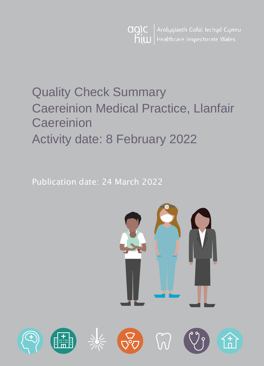Arolygiaeth Gofal Iechyd Cymru agic Healthcare Inspectorate Wales hiw

# Quality Check Summary Caereinion Medical Practice, Llanfair **Caereinion** Activity date: 8 February 2022

Publication date: 24 March 2022

d.

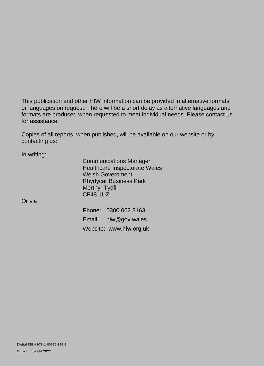This publication and other HIW information can be provided in alternative formats or languages on request. There will be a short delay as alternative languages and formats are produced when requested to meet individual needs. Please contact us for assistance.

Copies of all reports, when published, will be available on our website or by contacting us:

In writing:

Communications Manager Healthcare Inspectorate Wales Welsh Government Rhydycar Business Park Merthyr Tydfil CF48 1UZ

Or via

Phone: 0300 062 8163 Email: [hiw@gov.wales](mailto:hiw@gov.wales) Website: [www.hiw.org.uk](http://www.hiw.org.uk/)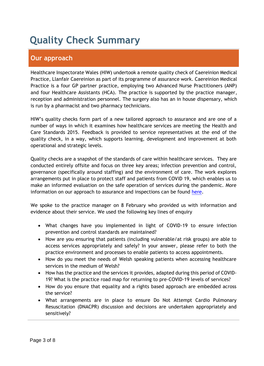## **Quality Check Summary**

## **Our approach**

Healthcare Inspectorate Wales (HIW) undertook a remote quality check of Caereinion Medical Practice, Llanfair Caereinion as part of its programme of assurance work. Caereinion Medical Practice is a four GP partner practice, employing two Advanced Nurse Practitioners (ANP) and four Healthcare Assistants (HCA). The practice is supported by the practice manager, reception and administration personnel. The surgery also has an in house dispensary, which is run by a pharmacist and two pharmacy technicians.

HIW's quality checks form part of a new tailored approach to assurance and are one of a number of ways in which it examines how healthcare services are meeting the Health and Care Standards 2015. Feedback is provided to service representatives at the end of the quality check, in a way, which supports learning, development and improvement at both operational and strategic levels.

Quality checks are a snapshot of the standards of care within healthcare services. They are conducted entirely offsite and focus on three key areas; infection prevention and control, governance (specifically around staffing) and the environment of care. The work explores arrangements put in place to protect staff and patients from COVID 19, which enables us to make an informed evaluation on the safe operation of services during the pandemic. More information on our approach to assurance and inspections can be found [here.](https://hiw.org.uk/covid-19-response-and-our-approach-assurance-and-inspection)

We spoke to the practice manager on 8 February who provided us with information and evidence about their service. We used the following key lines of enquiry

- What changes have you implemented in light of COVID-19 to ensure infection prevention and control standards are maintained?
- How are you ensuring that patients (including vulnerable/at risk groups) are able to access services appropriately and safely? In your answer, please refer to both the practice environment and processes to enable patients to access appointments.
- How do you meet the needs of Welsh speaking patients when accessing healthcare services in the medium of Welsh?
- How has the practice and the services it provides, adapted during this period of COVID-19? What is the practice road map for returning to pre-COVID-19 levels of services?
- How do you ensure that equality and a rights based approach are embedded across the service?
- What arrangements are in place to ensure Do Not Attempt Cardio Pulmonary Resuscitation (DNACPR) discussion and decisions are undertaken appropriately and sensitively?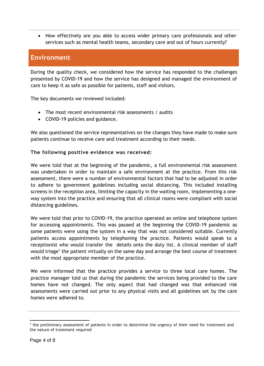How effectively are you able to access wider primary care professionals and other services such as mental health teams, secondary care and out of hours currently?

### **Environment**

During the quality check, we considered how the service has responded to the challenges presented by COVID-19 and how the service has designed and managed the environment of care to keep it as safe as possible for patients, staff and visitors.

The key documents we reviewed included:

- The most recent environmental risk assessments / audits
- COVID-19 policies and guidance.

We also questioned the service representatives on the changes they have made to make sure patients continue to receive care and treatment according to their needs.

#### **The following positive evidence was received:**

We were told that at the beginning of the pandemic, a full environmental risk assessment was undertaken in order to maintain a safe environment at the practice. From this risk assessment, there were a number of environmental factors that had to be adjusted in order to adhere to government guidelines including social distancing. This included installing screens in the reception area, limiting the capacity in the waiting room, implementing a oneway system into the practice and ensuring that all clinical rooms were compliant with social distancing guidelines.

We were told that prior to COVID-19, the practice operated an online and telephone system for accessing appointments. This was paused at the beginning the COVID-19 pandemic as some patients were using the system in a way that was not considered suitable. Currently patients access appointments by telephoning the practice. Patients would speak to a receptionist who would transfer the details onto the duty list. A clinical member of staff would triage<sup>1</sup> the patient virtually on the same day and arrange the best course of treatment with the most appropriate member of the practice.

We were informed that the practice provides a service to three local care homes. The practice manager told us that during the pandemic the services being provided to the care homes have not changed. The only aspect that had changed was that enhanced risk assessments were carried out prior to any physical visits and all guidelines set by the care homes were adhered to.

 <sup>1</sup> the preliminary assessment of patients in order to determine the urgency of their need for treatment and the nature of treatment required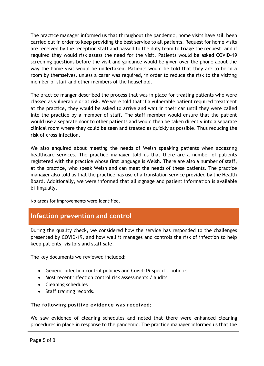The practice manager informed us that throughout the pandemic, home visits have still been carried out in order to keep providing the best service to all patients. Request for home visits are received by the reception staff and passed to the duty team to triage the request, and if required they would risk assess the need for the visit. Patients would be asked COVID-19 screening questions before the visit and guidance would be given over the phone about the way the home visit would be undertaken. Patients would be told that they are to be in a room by themselves, unless a carer was required, in order to reduce the risk to the visiting member of staff and other members of the household.

The practice manger described the process that was in place for treating patients who were classed as vulnerable or at risk. We were told that if a vulnerable patient required treatment at the practice, they would be asked to arrive and wait in their car until they were called into the practice by a member of staff. The staff member would ensure that the patient would use a separate door to other patients and would then be taken directly into a separate clinical room where they could be seen and treated as quickly as possible. Thus reducing the risk of cross infection.

We also enquired about meeting the needs of Welsh speaking patients when accessing healthcare services. The practice manager told us that there are a number of patients registered with the practice whose first language is Welsh. There are also a number of staff, at the practice, who speak Welsh and can meet the needs of these patients. The practice manager also told us that the practice has use of a translation service provided by the Health Board. Additionally, we were informed that all signage and patient information is available bi-lingually.

No areas for improvements were identified.

### **Infection prevention and control**

During the quality check, we considered how the service has responded to the challenges presented by COVID-19, and how well it manages and controls the risk of infection to help keep patients, visitors and staff safe.

The key documents we reviewed included:

- Generic infection control policies and Covid-19 specific policies
- Most recent infection control risk assessments / audits
- Cleaning schedules
- Staff training records.

#### **The following positive evidence was received:**

We saw evidence of cleaning schedules and noted that there were enhanced cleaning procedures in place in response to the pandemic. The practice manager informed us that the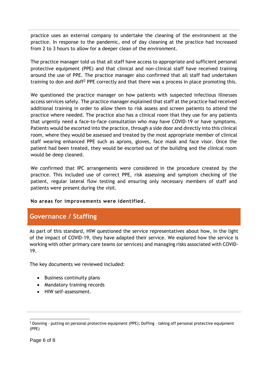practice uses an external company to undertake the cleaning of the environment at the practice. In response to the pandemic, end of day cleaning at the practice had increased from 2 to 3 hours to allow for a deeper clean of the environment.

The practice manager told us that all staff have access to appropriate and sufficient personal protective equipment (PPE) and that clinical and non-clinical staff have received training around the use of PPE. The practice manager also confirmed that all staff had undertaken training to don and doff<sup>2</sup> PPE correctly and that there was a process in place promoting this.

We questioned the practice manager on how patients with suspected infectious illnesses access services safely. The practice manager explained that staff at the practice had received additional training in order to allow them to risk assess and screen patients to attend the practice where needed. The practice also has a clinical room that they use for any patients that urgently need a face-to-face consultation who may have COVID-19 or have symptoms. Patients would be escorted into the practice, through a side door and directly into this clinical room, where they would be assessed and treated by the most appropriate member of clinical staff wearing enhanced PPE such as aprons, gloves, face mask and face visor. Once the patient had been treated, they would be escorted out of the building and the clinical room would be deep cleaned.

We confirmed that IPC arrangements were considered in the procedure created by the practice. This included use of correct PPE, risk assessing and symptom checking of the patient, regular lateral flow testing and ensuring only necessary members of staff and patients were present during the visit.

**No areas for improvements were identified.**

## **Governance / Staffing**

As part of this standard, HIW questioned the service representatives about how, in the light of the impact of COVID-19, they have adapted their service. We explored how the service is working with other primary care teams (or services) and managing risks associated with COVID-19.

The key documents we reviewed included:

- Business continuity plans
- Mandatory training records
- HIW self-assessment.

 $\overline{a}$ <sup>2</sup> Donning - putting on personal protective equipment (PPE); Doffing - taking off personal protective equipment (PPE)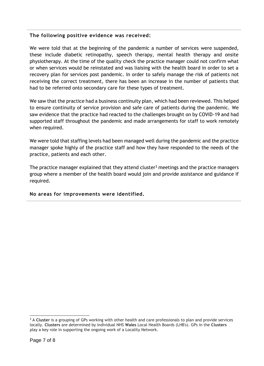#### **The following positive evidence was received:**

We were told that at the beginning of the pandemic a number of services were suspended, these include diabetic retinopathy, speech therapy, mental health therapy and onsite physiotherapy. At the time of the quality check the practice manager could not confirm what or when services would be reinstated and was liaising with the health board in order to set a recovery plan for services post pandemic. In order to safely manage the risk of patients not receiving the correct treatment, there has been an increase in the number of patients that had to be referred onto secondary care for these types of treatment.

We saw that the practice had a business continuity plan, which had been reviewed. This helped to ensure continuity of service provision and safe care of patients during the pandemic. We saw evidence that the practice had reacted to the challenges brought on by COVID-19 and had supported staff throughout the pandemic and made arrangements for staff to work remotely when required.

We were told that staffing levels had been managed well during the pandemic and the practice manager spoke highly of the practice staff and how they have responded to the needs of the practice, patients and each other.

The practice manager explained that they attend cluster<sup>3</sup> meetings and the practice managers group where a member of the health board would join and provide assistance and guidance if required.

#### **No areas for improvements were identified.**

 $\overline{a}$ 

<sup>&</sup>lt;sup>3</sup> A Cluster is a grouping of GPs working with other health and care professionals to plan and provide services locally. **Clusters** are determined by individual NHS **Wales** Local Health Boards (LHB's). GPs in the **Clusters** play a key role in supporting the ongoing work of a Locality Network.